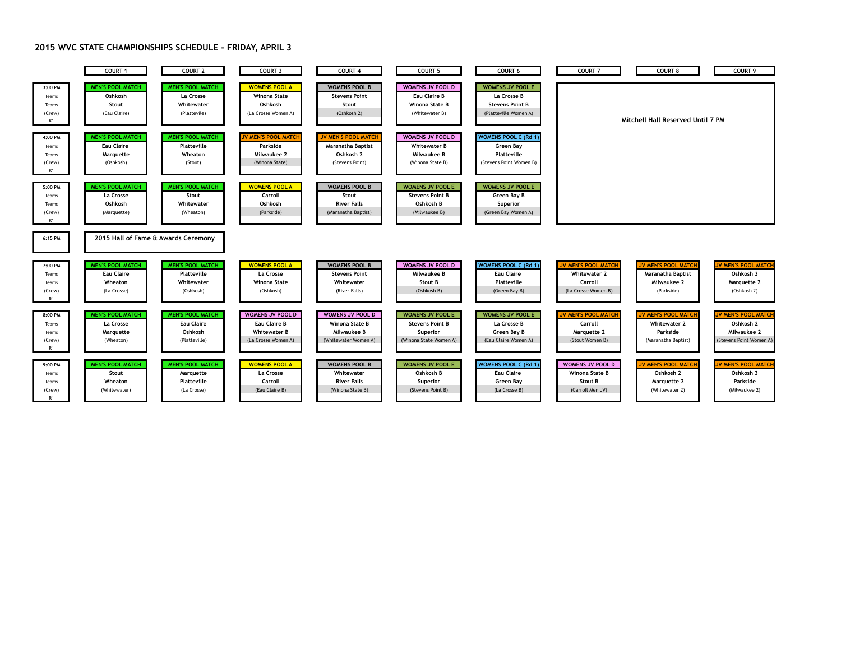## **2015 WVC STATE CHAMPIONSHIPS SCHEDULE - FRIDAY, APRIL 3**

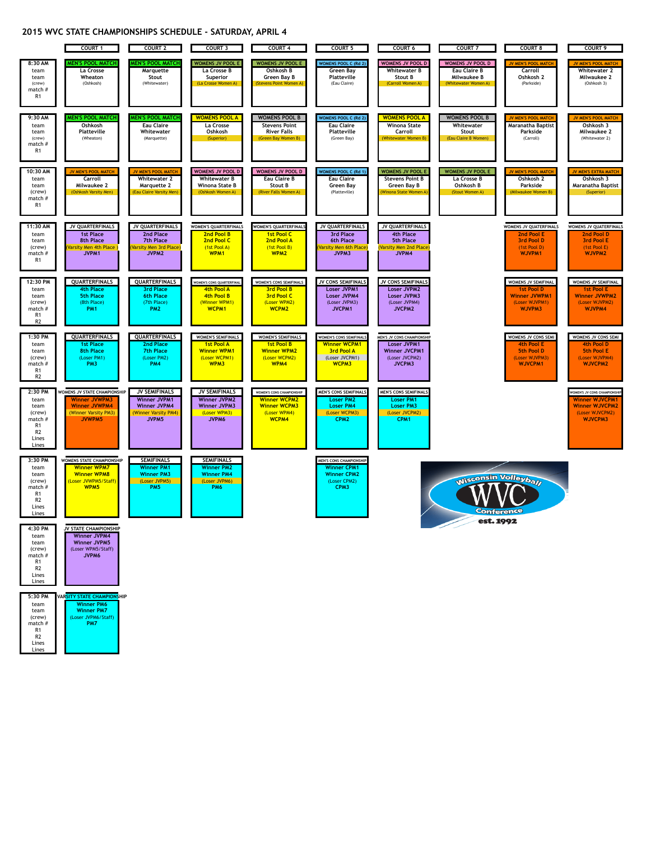## **2015 WVC STATE CHAMPIONSHIPS SCHEDULE - SATURDAY, APRIL 4**



| team<br>team<br>(crew)<br>match #<br>R1<br>R2<br>Lines<br>Lines | <b>Winner JVPM4</b><br><b>Winner JVPM5</b><br>(Loser WPM5/Staff)<br>JVPM6 |
|-----------------------------------------------------------------|---------------------------------------------------------------------------|
| 5:30 PM                                                         | VARSITY STATE CHAMPIONSHIP                                                |
| team<br>team<br>(crew)<br>match #<br>R1                         | <b>Winner PM6</b><br><b>Winner PM7</b><br>(Loser JVPM6/Staff)<br>PM7      |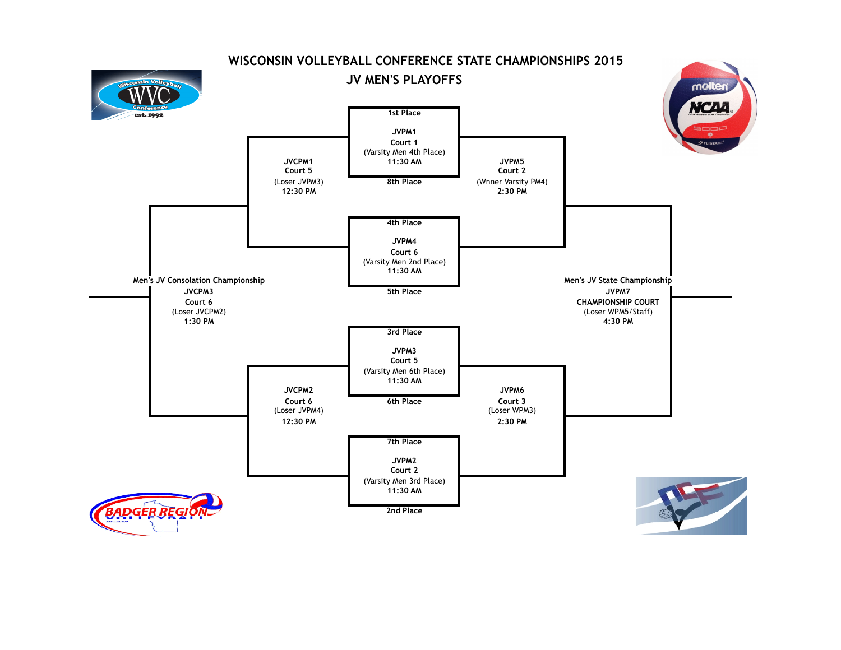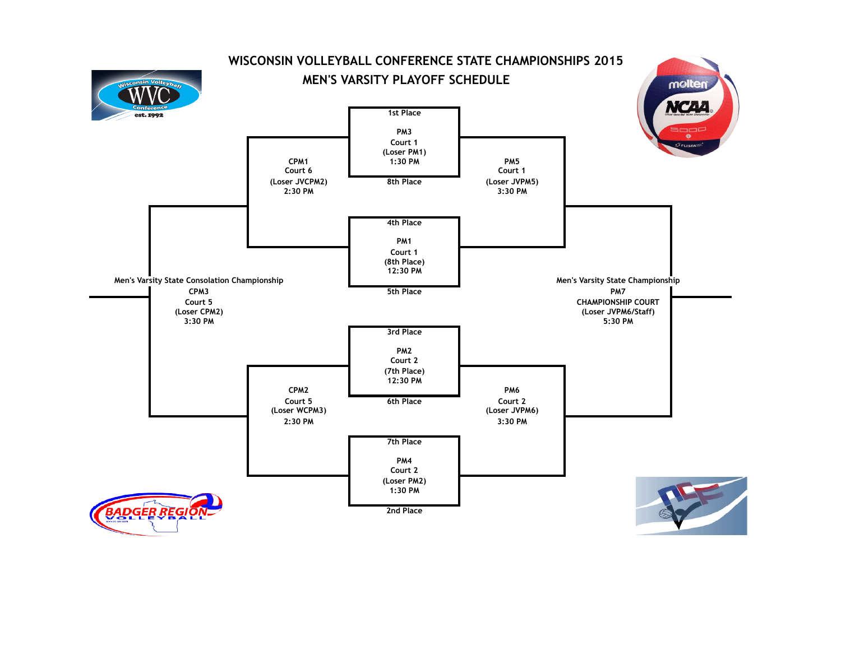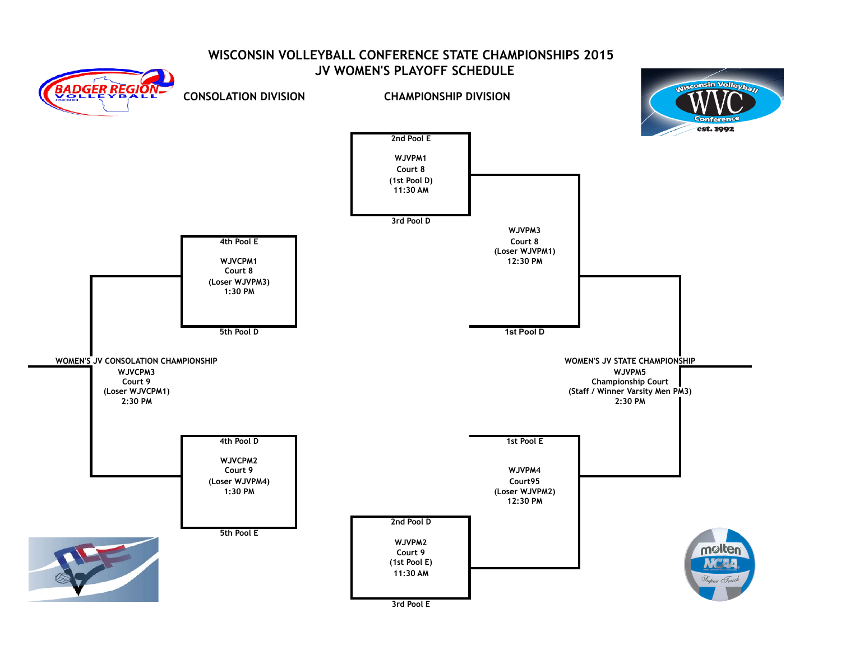## **WISCONSIN VOLLEYBALL CONFERENCE STATE CHAMPIONSHIPS 2015 JV WOMEN'S PLAYOFF SCHEDULE**